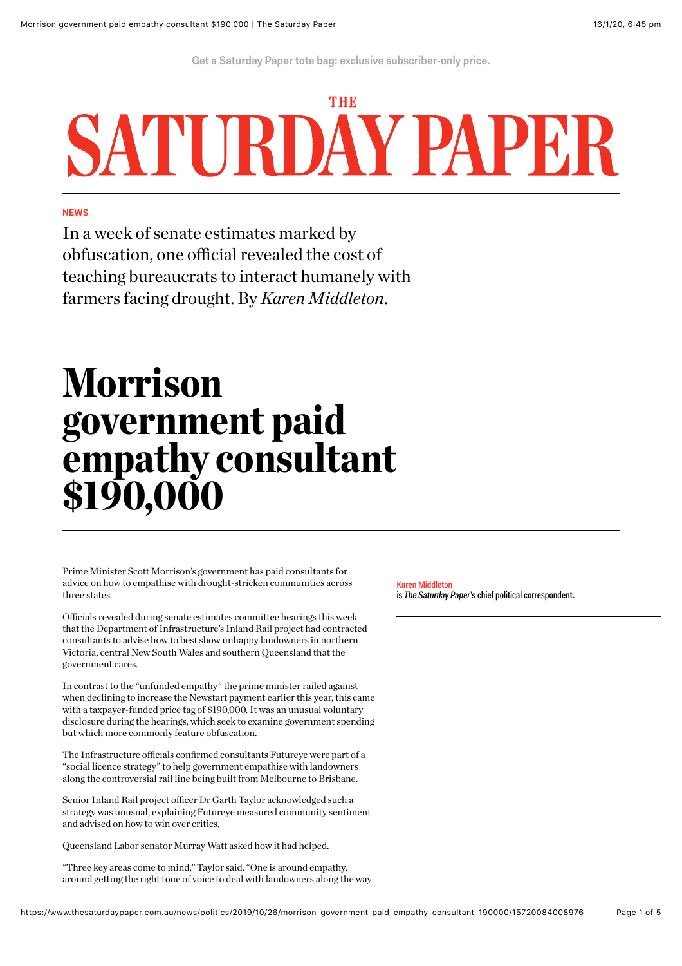**[Get a Saturday Paper tote bag: exclusive subscriber-only price.](https://schwartzmedia.com.au/totebag)**

# THD SATURDAY PAPE

### **NEWS**

In a week of senate estimates marked by obfuscation, one official revealed the cost of teaching bureaucrats to interact humanely with farmers facing drought. By *Karen Middleton*.

## Morrison government paid empathy consultant \$190,000

Prime Minister Scott Morrison's government has paid consultants for advice on how to empathise with drought-stricken communities across three states.

Officials revealed during senate estimates committee hearings this week that the Department of Infrastructure's Inland Rail project had contracted consultants to advise how to best show unhappy landowners in northern Victoria, central New South Wales and southern Queensland that the government cares.

In contrast to the "unfunded empathy" the prime minister railed against when declining to increase the Newstart payment earlier this year, this came with a taxpayer-funded price tag of \$190,000. It was an unusual voluntary disclosure during the hearings, which seek to examine government spending but which more commonly feature obfuscation.

The Infrastructure officials confirmed consultants Futureye were part of a "social licence strategy" to help government empathise with landowners along the controversial rail line being built from Melbourne to Brisbane.

Senior Inland Rail project officer Dr Garth Taylor acknowledged such a strategy was unusual, explaining Futureye measured community sentiment and advised on how to win over critics.

Queensland Labor senator Murray Watt asked how it had helped.

"Three key areas come to mind," Taylor said. "One is around empathy, around getting the right tone of voice to deal with landowners along the way

#### [Karen Middleton](https://www.thesaturdaypaper.com.au/contributor/karen-middleton)

is *The Saturday Paper*'s chief political correspondent.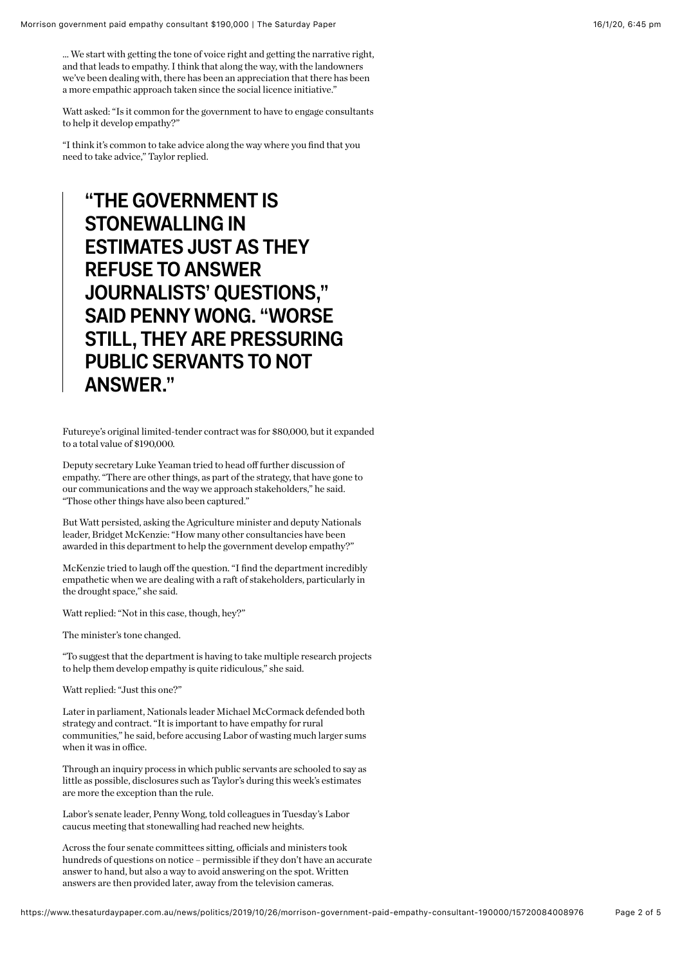Watt asked: "Is it common for the government to have to engage consultants to help it develop empathy?"

"I think it's common to take advice along the way where you find that you need to take advice," Taylor replied.

### **"THE GOVERNMENT IS STONEWALLING IN ESTIMATES JUST AS THEY REFUSE TO ANSWER JOURNALISTS' QUESTIONS," SAID PENNY WONG. "WORSE STILL, THEY ARE PRESSURING PUBLIC SERVANTS TO NOT ANSWER."**

Futureye's original limited-tender contract was for \$80,000, but it expanded to a total value of \$190,000.

Deputy secretary Luke Yeaman tried to head off further discussion of empathy. "There are other things, as part of the strategy, that have gone to our communications and the way we approach stakeholders," he said. "Those other things have also been captured."

But Watt persisted, asking the Agriculture minister and deputy Nationals leader, Bridget McKenzie: "How many other consultancies have been awarded in this department to help the government develop empathy?"

McKenzie tried to laugh off the question. "I find the department incredibly empathetic when we are dealing with a raft of stakeholders, particularly in the drought space," she said.

Watt replied: "Not in this case, though, hey?"

The minister's tone changed.

"To suggest that the department is having to take multiple research projects to help them develop empathy is quite ridiculous," she said.

Watt replied: "Just this one?"

Later in parliament, Nationals leader Michael McCormack defended both strategy and contract. "It is important to have empathy for rural communities," he said, before accusing Labor of wasting much larger sums when it was in office.

Through an inquiry process in which public servants are schooled to say as little as possible, disclosures such as Taylor's during this week's estimates are more the exception than the rule.

Labor's senate leader, Penny Wong, told colleagues in Tuesday's Labor caucus meeting that stonewalling had reached new heights.

Across the four senate committees sitting, officials and ministers took hundreds of questions on notice – permissible if they don't have an accurate answer to hand, but also a way to avoid answering on the spot. Written answers are then provided later, away from the television cameras.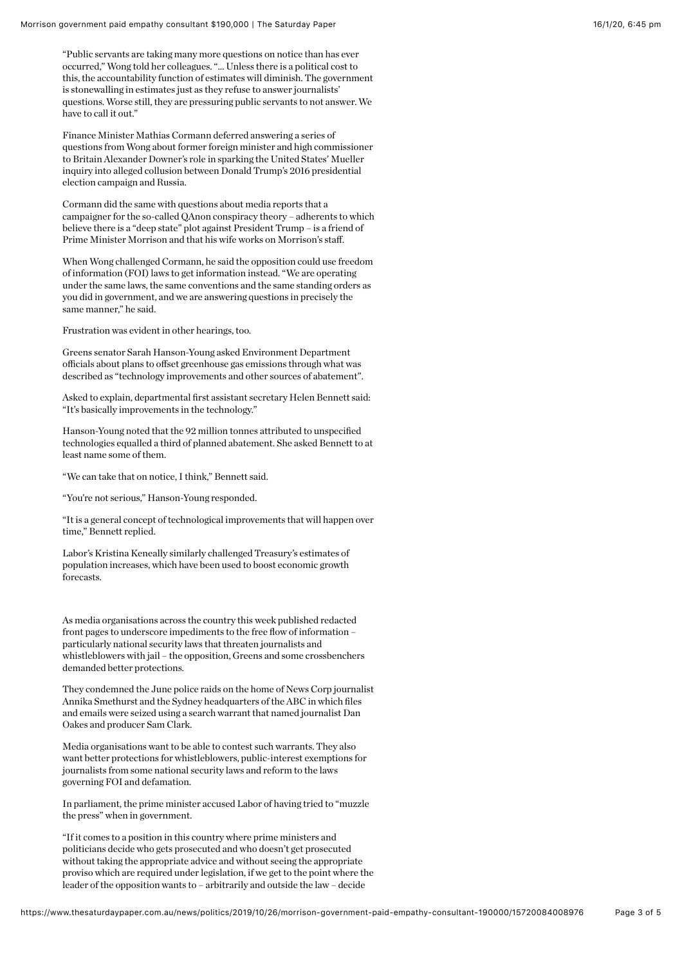"Public servants are taking many more questions on notice than has ever occurred," Wong told her colleagues. "… Unless there is a political cost to this, the accountability function of estimates will diminish. The government is stonewalling in estimates just as they refuse to answer journalists' questions. Worse still, they are pressuring public servants to not answer. We have to call it out."

Finance Minister Mathias Cormann deferred answering a series of questions from Wong about former foreign minister and high commissioner to Britain Alexander Downer's role in sparking the United States' Mueller inquiry into alleged collusion between Donald Trump's 2016 presidential election campaign and Russia.

Cormann did the same with questions about media reports that a campaigner for the so-called QAnon conspiracy theory – adherents to which believe there is a "deep state" plot against President Trump – is a friend of Prime Minister Morrison and that his wife works on Morrison's staff.

When Wong challenged Cormann, he said the opposition could use freedom of information (FOI) laws to get information instead. "We are operating under the same laws, the same conventions and the same standing orders as you did in government, and we are answering questions in precisely the same manner," he said.

Frustration was evident in other hearings, too.

Greens senator Sarah Hanson-Young asked Environment Department officials about plans to offset greenhouse gas emissions through what was described as "technology improvements and other sources of abatement".

Asked to explain, departmental first assistant secretary Helen Bennett said: "It's basically improvements in the technology."

Hanson-Young noted that the 92 million tonnes attributed to unspecified technologies equalled a third of planned abatement. She asked Bennett to at least name some of them.

"We can take that on notice, I think," Bennett said.

"You're not serious," Hanson-Young responded.

"It is a general concept of technological improvements that will happen over time," Bennett replied.

Labor's Kristina Keneally similarly challenged Treasury's estimates of population increases, which have been used to boost economic growth forecasts.

As media organisations across the country this week published redacted front pages to underscore impediments to the free flow of information – particularly national security laws that threaten journalists and whistleblowers with jail – the opposition, Greens and some crossbenchers demanded better protections.

They condemned the June police raids on the home of News Corp journalist Annika Smethurst and the Sydney headquarters of the ABC in which files and emails were seized using a search warrant that named journalist Dan Oakes and producer Sam Clark.

Media organisations want to be able to contest such warrants. They also want better protections for whistleblowers, public-interest exemptions for journalists from some national security laws and reform to the laws governing FOI and defamation.

In parliament, the prime minister accused Labor of having tried to "muzzle the press" when in government.

"If it comes to a position in this country where prime ministers and politicians decide who gets prosecuted and who doesn't get prosecuted without taking the appropriate advice and without seeing the appropriate proviso which are required under legislation, if we get to the point where the leader of the opposition wants to – arbitrarily and outside the law – decide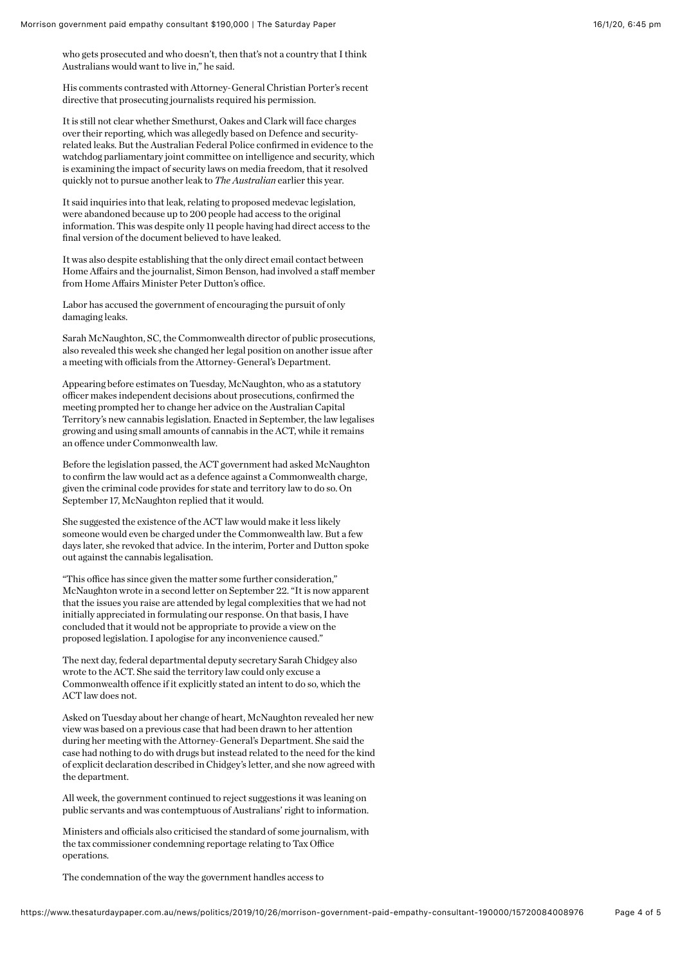who gets prosecuted and who doesn't, then that's not a country that I think Australians would want to live in," he said.

His comments contrasted with Attorney-General Christian Porter's recent directive that prosecuting journalists required his permission.

It is still not clear whether Smethurst, Oakes and Clark will face charges over their reporting, which was allegedly based on Defence and securityrelated leaks. But the Australian Federal Police confirmed in evidence to the watchdog parliamentary joint committee on intelligence and security, which is examining the impact of security laws on media freedom, that it resolved quickly not to pursue another leak to *The Australian* earlier this year.

It said inquiries into that leak, relating to proposed medevac legislation, were abandoned because up to 200 people had access to the original information. This was despite only 11 people having had direct access to the final version of the document believed to have leaked.

It was also despite establishing that the only direct email contact between Home Affairs and the journalist, Simon Benson, had involved a staff member from Home Affairs Minister Peter Dutton's office.

Labor has accused the government of encouraging the pursuit of only damaging leaks.

Sarah McNaughton, SC, the Commonwealth director of public prosecutions, also revealed this week she changed her legal position on another issue after a meeting with officials from the Attorney-General's Department.

Appearing before estimates on Tuesday, McNaughton, who as a statutory officer makes independent decisions about prosecutions, confirmed the meeting prompted her to change her advice on the Australian Capital Territory's new cannabis legislation. Enacted in September, the law legalises growing and using small amounts of cannabis in the ACT, while it remains an offence under Commonwealth law.

Before the legislation passed, the ACT government had asked McNaughton to confirm the law would act as a defence against a Commonwealth charge, given the criminal code provides for state and territory law to do so. On September 17, McNaughton replied that it would.

She suggested the existence of the ACT law would make it less likely someone would even be charged under the Commonwealth law. But a few days later, she revoked that advice. In the interim, Porter and Dutton spoke out against the cannabis legalisation.

"This office has since given the matter some further consideration," McNaughton wrote in a second letter on September 22. "It is now apparent that the issues you raise are attended by legal complexities that we had not initially appreciated in formulating our response. On that basis, I have concluded that it would not be appropriate to provide a view on the proposed legislation. I apologise for any inconvenience caused."

The next day, federal departmental deputy secretary Sarah Chidgey also wrote to the ACT. She said the territory law could only excuse a Commonwealth offence if it explicitly stated an intent to do so, which the ACT law does not.

Asked on Tuesday about her change of heart, McNaughton revealed her new view was based on a previous case that had been drawn to her attention during her meeting with the Attorney-General's Department. She said the case had nothing to do with drugs but instead related to the need for the kind of explicit declaration described in Chidgey's letter, and she now agreed with the department.

All week, the government continued to reject suggestions it was leaning on public servants and was contemptuous of Australians' right to information.

Ministers and officials also criticised the standard of some journalism, with the tax commissioner condemning reportage relating to Tax Office operations.

The condemnation of the way the government handles access to